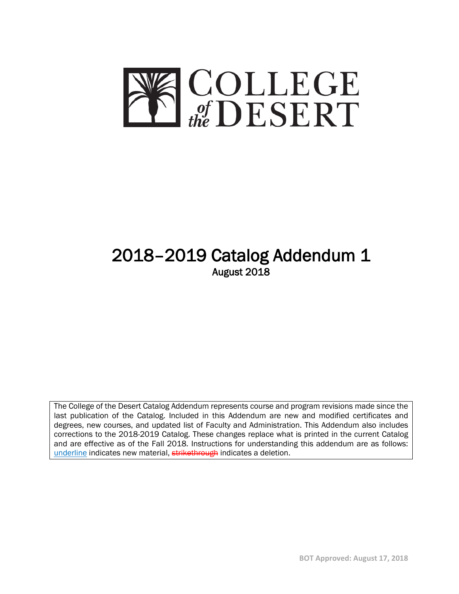

# 2018–2019 Catalog Addendum 1<br>August 2018

The College of the Desert Catalog Addendum represents course and program revisions made since the last publication of the Catalog. Included in this Addendum are new and modified certificates and degrees, new courses, and updated list of Faculty and Administration. This Addendum also includes corrections to the 2018-2019 Catalog. These changes replace what is printed in the current Catalog and are effective as of the Fall 2018. Instructions for understanding this addendum are as follows: underline indicates new material, strikethrough indicates a deletion.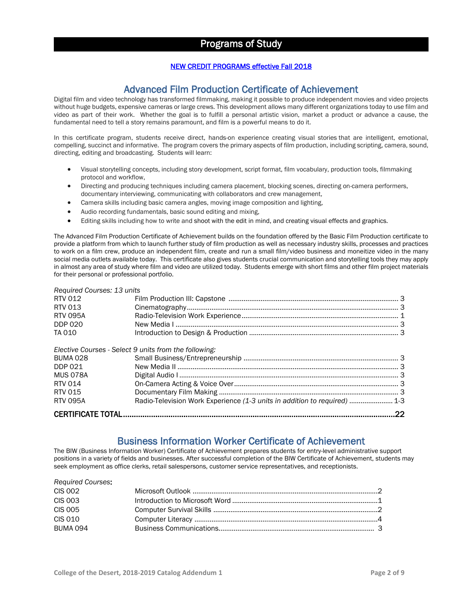### Programs of Study

### NEW CREDIT PROGRAMS effective Fall 2018

Advanced Film Production Certificate of Achievement<br>Digital film and video technology has transformed filmmaking, making it possible to produce independent movies and video projects without huge budgets, expensive cameras or large crews. This development allows many different organizations today to use film and video as part of their work. Whether the goal is to fulfill a personal artistic vision, market a product or advance a cause, the fundamental need to tell a story remains paramount, and film is a powerful means to do it.

In this certificate program, students receive direct, hands-on experience creating visual stories that are intelligent, emotional, compelling, succinct and informative. The program covers the primary aspects of film production, including scripting, camera, sound, directing, editing and broadcasting. Students will learn:

- Visual storytelling concepts, including story development, script format, film vocabulary, production tools, filmmaking protocol and workflow,
- Directing and producing techniques including camera placement, blocking scenes, directing on-camera performers, documentary interviewing, communicating with collaborators and crew management,
- Camera skills including basic camera angles, moving image composition and lighting,
- Audio recording fundamentals, basic sound editing and mixing,
- Editing skills including how to write and shoot with the edit in mind, and creating visual effects and graphics.

The Advanced Film Production Certificate of Achievement builds on the foundation offered by the Basic Film Production certificate to provide a platform from which to launch further study of film production as well as necessary industry skills, processes and practices to work on a film crew, produce an independent film, create and run a small film/video business and moneitize video in the many social media outlets available today. This certificate also gives students crucial communication and storytelling tools they may apply in almost any area of study where film and video are utilized today. Students emerge with short films and other film project materials for their personal or professional portfolio.

### *Required Courses: 13 units*

| RTV 012         |                                                                           |  |
|-----------------|---------------------------------------------------------------------------|--|
| RTV 013         |                                                                           |  |
| <b>RTV 095A</b> |                                                                           |  |
| <b>DDP 020</b>  |                                                                           |  |
| TA 010          |                                                                           |  |
|                 | Elective Courses - Select 9 units from the following:                     |  |
| <b>BUMA 028</b> |                                                                           |  |
| DDP 021         |                                                                           |  |
| <b>MUS 078A</b> |                                                                           |  |
| <b>RTV 014</b>  |                                                                           |  |
| RTV 015         |                                                                           |  |
| <b>RTV 095A</b> | Radio-Television Work Experience (1-3 units in addition to required)  1-3 |  |
|                 |                                                                           |  |
|                 |                                                                           |  |

## Business Information Worker Certificate of Achievement<br>The BIW (Business Information Worker) Certificate of Achievement prepares students for entry-level administrative support

positions in a variety of fields and businesses. After successful completion of the BIW Certificate of Achievement, students may seek employment as office clerks, retail salespersons, customer service representatives, and receptionists.

| <b>Required Courses:</b> |  |
|--------------------------|--|
| <b>CIS 002</b>           |  |
| <b>CIS 003</b>           |  |
| <b>CIS 005</b>           |  |
| CIS 010                  |  |
| BUMA 094                 |  |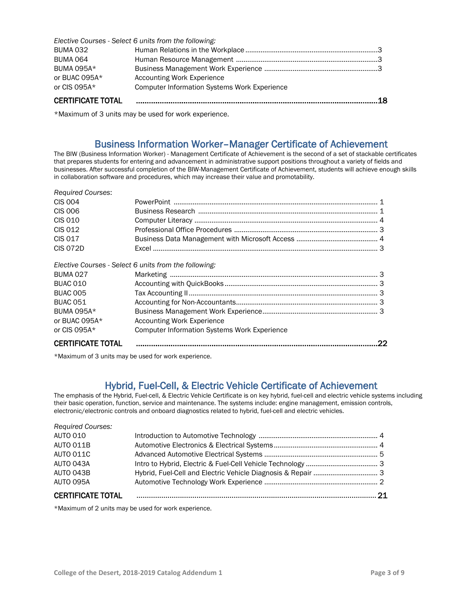|                          | Elective Courses - Select 6 units from the following: |     |
|--------------------------|-------------------------------------------------------|-----|
| <b>BUMA 032</b>          |                                                       |     |
| <b>BUMA 064</b>          |                                                       |     |
| <b>BUMA 095A*</b>        |                                                       |     |
| or BUAC 095A*            | Accounting Work Experience                            |     |
| or CIS 095A $*$          | <b>Computer Information Systems Work Experience</b>   |     |
| <b>CERTIFICATE TOTAL</b> |                                                       | .18 |

\*Maximum of 3 units may be used for work experience.

## Business Information Worker–Manager Certificate of Achievement<br>The BIW (Business Information Worker) - Management Certificate of Achievement is the second of a set of stackable certificates

that prepares students for entering and advancement in administrative support positions throughout a variety of fields and businesses. After successful completion of the BIW-Management Certificate of Achievement, students will achieve enough skills in collaboration software and procedures, which may increase their value and promotability.

| <b>CERTIFICATE TOTAL</b> |                                                       |  |
|--------------------------|-------------------------------------------------------|--|
| or CIS $095A*$           | <b>Computer Information Systems Work Experience</b>   |  |
|                          |                                                       |  |
| or BUAC 095A*            | Accounting Work Experience                            |  |
| BUMA 095A*               |                                                       |  |
| <b>BUAC 051</b>          |                                                       |  |
| <b>BUAC 005</b>          |                                                       |  |
| BUAC 010                 |                                                       |  |
| <b>BUMA 027</b>          |                                                       |  |
|                          | Elective Courses - Select 6 units from the following: |  |
| <b>CIS 072D</b>          |                                                       |  |
| CIS 017                  |                                                       |  |
| CIS 012                  |                                                       |  |
| <b>CIS 010</b>           |                                                       |  |
| CIS 006                  |                                                       |  |
| <b>CIS 004</b>           |                                                       |  |
| <b>Required Courses:</b> |                                                       |  |

\*Maximum of 3 units may be used for work experience.

Hybrid, Fuel-Cell, & Electric Vehicle Certificate of Achievement<br>The emphasis of the Hybrid, Fuel-cell, & Electric Vehicle Certificate is on key hybrid, fuel-cell and electric vehicle systems including their basic operation, function, service and maintenance. The systems include: engine management, emission controls, electronic/electronic controls and onboard diagnostics related to hybrid, fuel-cell and electric vehicles.

| <b>CERTIFICATE TOTAL</b> |  |
|--------------------------|--|
| AUTO 095A                |  |
| AUTO 043B                |  |
| AUTO 043A                |  |
| AUTO 011C                |  |
| AUTO 011B                |  |
| <b>AUTO 010</b>          |  |
| <b>Required Courses:</b> |  |

\*Maximum of 2 units may be used for work experience.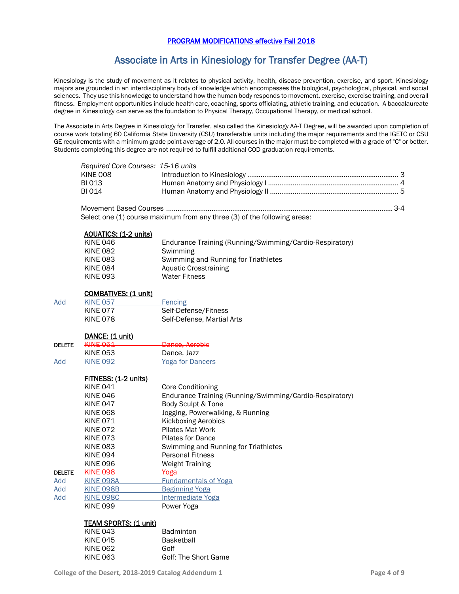### PROGRAM MODIFICATIONS effective Fall 2018

### Associate in Arts in Kinesiology for Transfer Degree (AA-T)

Kinesiology is the study of movement as it relates to physical activity, health, disease prevention, exercise, and sport. Kinesiology majors are grounded in an interdisciplinary body of knowledge which encompasses the biological, psychological, physical, and social sciences. They use this knowledge to understand how the human body responds to movement, exercise, exercise training, and overall fitness. Employment opportunities include health care, coaching, sports officiating, athletic training, and education. A baccalaureate degree in Kinesiology can serve as the foundation to Physical Therapy, Occupational Therapy, or medical school.

The Associate in Arts Degree in Kinesiology for Transfer, also called the Kinesiology AA-T Degree, will be awarded upon completion of course work totaling 60 California State University (CSU) transferable units including the major requirements and the IGETC or CSU GE requirements with a minimum grade point average of 2.0. All courses in the major must be completed with a grade of "C" or better. Students completing this degree are not required to fulfill additional COD graduation requirements.

| Required Core Courses: 15-16 units |  |
|------------------------------------|--|
| <b>KINE 008</b>                    |  |
| BI 013                             |  |
| <b>BI 014</b>                      |  |

Movement Based Courses ........................................................................................................................ 3-4 Select one (1) course maximum from any three (3) of the following areas:

|               | <b>AQUATICS: (1-2 units)</b><br><b>KINE 046</b><br><b>KINE 082</b><br><b>KINE 083</b><br><b>KINE 084</b><br><b>KINE 093</b> | Endurance Training (Running/Swimming/Cardio-Respiratory)<br>Swimming<br>Swimming and Running for Triathletes<br><b>Aquatic Crosstraining</b><br><b>Water Fitness</b> |
|---------------|-----------------------------------------------------------------------------------------------------------------------------|----------------------------------------------------------------------------------------------------------------------------------------------------------------------|
|               | <b>COMBATIVES: (1 unit)</b>                                                                                                 |                                                                                                                                                                      |
| Add           | <b>KINE 057</b>                                                                                                             | Fencing                                                                                                                                                              |
|               | <b>KINE 077</b>                                                                                                             | Self-Defense/Fitness                                                                                                                                                 |
|               | <b>KINE 078</b>                                                                                                             | Self-Defense, Martial Arts                                                                                                                                           |
|               | DANCE: (1 unit)                                                                                                             |                                                                                                                                                                      |
| <b>DELETE</b> | <b>KINE 051</b>                                                                                                             | Dance, Aerobic                                                                                                                                                       |
|               | <b>KINE 053</b>                                                                                                             | Dance, Jazz                                                                                                                                                          |
| Add           | <b>KINE 092</b>                                                                                                             | <b>Yoga for Dancers</b>                                                                                                                                              |
|               | FITNESS: (1-2 units)                                                                                                        |                                                                                                                                                                      |
|               | <b>KINE 041</b>                                                                                                             | Core Conditioning                                                                                                                                                    |
|               | <b>KINE 046</b>                                                                                                             | Endurance Training (Running/Swimming/Cardio-Respiratory)                                                                                                             |
|               | <b>KINE 047</b>                                                                                                             | Body Sculpt & Tone                                                                                                                                                   |
|               | <b>KINE 068</b>                                                                                                             | Jogging, Powerwalking, & Running                                                                                                                                     |
|               | <b>KINE 071</b>                                                                                                             | <b>Kickboxing Aerobics</b>                                                                                                                                           |
|               | <b>KINE 072</b>                                                                                                             | Pilates Mat Work                                                                                                                                                     |
|               | <b>KINE 073</b>                                                                                                             | <b>Pilates for Dance</b>                                                                                                                                             |
|               | <b>KINE 083</b>                                                                                                             | Swimming and Running for Triathletes                                                                                                                                 |
|               | <b>KINE 094</b>                                                                                                             | <b>Personal Fitness</b>                                                                                                                                              |
|               | <b>KINE 096</b>                                                                                                             | <b>Weight Training</b>                                                                                                                                               |
| <b>DELETE</b> | <b>KINE 098</b>                                                                                                             | Yoga                                                                                                                                                                 |
| Add           | <b>KINE 098A</b>                                                                                                            | <b>Fundamentals of Yoga</b>                                                                                                                                          |
| Add           | <b>KINE 098B</b>                                                                                                            | <b>Beginning Yoga</b>                                                                                                                                                |
| Add           | <b>KINE 098C</b>                                                                                                            | Intermediate Yoga                                                                                                                                                    |
|               | <b>KINE 099</b>                                                                                                             | Power Yoga                                                                                                                                                           |
|               | <b>TEAM SPORTS: (1 unit)</b>                                                                                                |                                                                                                                                                                      |
|               | <b>KINE 043</b>                                                                                                             | Badminton                                                                                                                                                            |
|               | <b>KINE 045</b>                                                                                                             | <b>Basketball</b>                                                                                                                                                    |
|               | <b>KINE 062</b>                                                                                                             | Golf                                                                                                                                                                 |
|               | <b>KINE 063</b>                                                                                                             | Golf: The Short Game                                                                                                                                                 |

Golf: The Short Game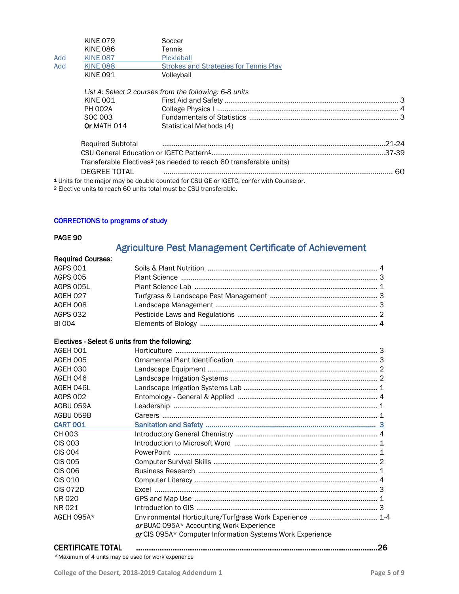|     | <b>KINE 079</b>          | Soccer                                                                                             |            |
|-----|--------------------------|----------------------------------------------------------------------------------------------------|------------|
|     | <b>KINE 086</b>          | Tennis                                                                                             |            |
| Add | <b>KINE 087</b>          | Pickleball                                                                                         |            |
| Add | <b>KINE 088</b>          | <b>Strokes and Strategies for Tennis Play</b>                                                      |            |
|     | <b>KINE 091</b>          | Volleyball                                                                                         |            |
|     |                          | List A: Select 2 courses from the following: 6-8 units                                             |            |
|     | KINE 001                 |                                                                                                    |            |
|     | <b>PH 002A</b>           |                                                                                                    |            |
|     | SOC 003                  |                                                                                                    |            |
|     | Or MATH 014              | Statistical Methods (4)                                                                            |            |
|     | <b>Required Subtotal</b> |                                                                                                    | $.21 - 24$ |
|     |                          |                                                                                                    |            |
|     |                          | Transferable Electives <sup>2</sup> (as needed to reach 60 transferable units)                     |            |
|     | <b>DEGREE TOTAL</b>      |                                                                                                    | ഹ          |
|     |                          | <sup>1</sup> Units for the major may be double counted for CSU GE or IGETC, confer with Counselor. |            |

2 Elective units to reach 60 units total must be CSU transferable.

### CORRECTIONS to programs of study

### PAGE 90

## Agriculture Pest Management Certificate of Achievement Required Courses:

| <b>AGPS 001</b> |  |
|-----------------|--|
| <b>AGPS 005</b> |  |
| AGPS 005L       |  |
| AGEH 027        |  |
| AGEH 008        |  |
| <b>AGPS 032</b> |  |
| <b>BI 004</b>   |  |
|                 |  |

### Electives - Select 6 units from the following:

| AGEH 001        |                                                                                                       |  |
|-----------------|-------------------------------------------------------------------------------------------------------|--|
| AGEH 005        |                                                                                                       |  |
| AGEH 030        |                                                                                                       |  |
| AGEH 046        |                                                                                                       |  |
| AGEH 046L       |                                                                                                       |  |
| <b>AGPS 002</b> |                                                                                                       |  |
| AGBU 059A       |                                                                                                       |  |
| AGBU 059B       |                                                                                                       |  |
| <b>CART 001</b> |                                                                                                       |  |
| CH 003          |                                                                                                       |  |
| <b>CIS 003</b>  |                                                                                                       |  |
| <b>CIS 004</b>  |                                                                                                       |  |
| <b>CIS 005</b>  |                                                                                                       |  |
| CIS 006         |                                                                                                       |  |
| CIS 010         |                                                                                                       |  |
| <b>CIS 072D</b> |                                                                                                       |  |
| NR 020          |                                                                                                       |  |
| NR 021          |                                                                                                       |  |
| AGEH 095A*      | or BUAC 095A* Accounting Work Experience<br>or CIS 095A* Computer Information Systems Work Experience |  |
|                 |                                                                                                       |  |

| <b>CERTIFICATE TOTAL</b> | . Www.marrare.com/marrarelation-contract contract contract contract contract contract contract contract contra |
|--------------------------|----------------------------------------------------------------------------------------------------------------|
|--------------------------|----------------------------------------------------------------------------------------------------------------|

\*Maximum of 4 units may be used for work experience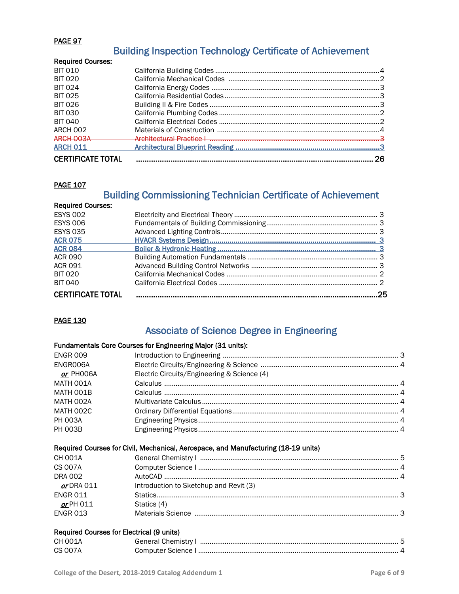### PAGE 97

### Building Inspection Technology Certificate of Achievement

| Architectural Practice   New York   New York   New York   New York   New York   New York   New York   New York |    |
|----------------------------------------------------------------------------------------------------------------|----|
|                                                                                                                |    |
|                                                                                                                | 26 |
|                                                                                                                |    |

### **PAGE 107**

## Building Commissioning Technician Certificate of Achievement Required Courses:

| <b>ESYS 002</b>          |  |
|--------------------------|--|
| <b>ESYS 006</b>          |  |
| <b>ESYS 035</b>          |  |
| <b>ACR 075</b>           |  |
| <b>ACR 084</b>           |  |
| <b>ACR 090</b>           |  |
| <b>ACR 091</b>           |  |
| <b>BIT 020</b>           |  |
| <b>BIT 040</b>           |  |
| <b>CERTIFICATE TOTAL</b> |  |
|                          |  |

### <u>PAGE 130</u>

### Associate of Science Degree in Engineering

### Fundamentals Core Courses for Engineering Major (31 units):

| <b>ENGR 009</b> |                                                                                    |  |
|-----------------|------------------------------------------------------------------------------------|--|
| ENGROO6A        |                                                                                    |  |
| or PHOO6A       | Electric Circuits/Engineering & Science (4)                                        |  |
| MATH 001A       |                                                                                    |  |
| MATH 001B       |                                                                                    |  |
| MATH 002A       |                                                                                    |  |
| MATH 002C       |                                                                                    |  |
| <b>PH 003A</b>  |                                                                                    |  |
| <b>PH 003B</b>  |                                                                                    |  |
|                 | Required Courses for Civil, Mechanical, Aerospace, and Manufacturing (18-19 units) |  |
| <b>CH 001A</b>  |                                                                                    |  |
| CS 007A         |                                                                                    |  |
| <b>DRA 002</b>  |                                                                                    |  |
| or DRA 011      | Introduction to Sketchup and Revit (3)                                             |  |
|                 |                                                                                    |  |
| <b>ENGR 011</b> |                                                                                    |  |
| or PH 011       | Statics (4)                                                                        |  |
| <b>ENGR 013</b> |                                                                                    |  |
|                 |                                                                                    |  |

| CH 001A | General Chemistry I |  |
|---------|---------------------|--|
| CS 007A | :omnuter Science L  |  |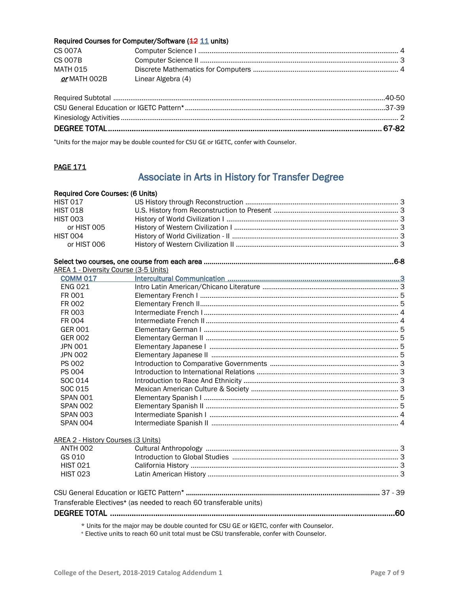### Required Courses for Computer/Software (12 11 units)

| <b>CS 007A</b>      |                    |  |
|---------------------|--------------------|--|
| <b>CS 007B</b>      |                    |  |
| MATH 015            |                    |  |
| <i>or</i> MATH 002B | Linear Algebra (4) |  |

**\***Units for the major may be double counted for CSU GE or IGETC, confer with Counselor.

### **PAGE 171**

### Associate in Arts in History for Transfer Degree

| Required Core Courses: (6 Units)             |                                                                                         |
|----------------------------------------------|-----------------------------------------------------------------------------------------|
| <b>HIST 017</b>                              |                                                                                         |
| <b>HIST 018</b>                              |                                                                                         |
| <b>HIST 003</b>                              |                                                                                         |
| or HIST 005                                  |                                                                                         |
| <b>HIST 004</b>                              |                                                                                         |
| or HIST 006                                  |                                                                                         |
|                                              |                                                                                         |
| <b>AREA 1 - Diversity Course (3-5 Units)</b> |                                                                                         |
| <b>COMM 017</b>                              |                                                                                         |
| <b>ENG 021</b>                               |                                                                                         |
| FR 001                                       |                                                                                         |
| FR 002                                       |                                                                                         |
| FR 003                                       |                                                                                         |
| FR 004                                       |                                                                                         |
| <b>GER 001</b>                               |                                                                                         |
| <b>GER 002</b>                               |                                                                                         |
| <b>JPN 001</b>                               |                                                                                         |
| <b>JPN 002</b>                               |                                                                                         |
| <b>PS 002</b>                                |                                                                                         |
| PS 004                                       |                                                                                         |
| SOC 014                                      |                                                                                         |
| SOC 015                                      |                                                                                         |
| <b>SPAN 001</b>                              |                                                                                         |
| <b>SPAN 002</b>                              |                                                                                         |
| <b>SPAN 003</b>                              |                                                                                         |
| SPAN 004                                     |                                                                                         |
| AREA 2 - History Courses (3 Units)           |                                                                                         |
| <b>ANTH 002</b>                              |                                                                                         |
| GS 010                                       |                                                                                         |
| <b>HIST 021</b>                              |                                                                                         |
| <b>HIST 023</b>                              |                                                                                         |
|                                              |                                                                                         |
|                                              | Transferable Electives <sup>+</sup> (as needed to reach 60 transferable units)          |
|                                              |                                                                                         |
|                                              |                                                                                         |
|                                              | * Units for the major may be double counted for CSU GE or IGETC, confer with Counselor. |

<sup>+</sup> Elective units to reach 60 unit total must be CSU transferable, confer with Counselor.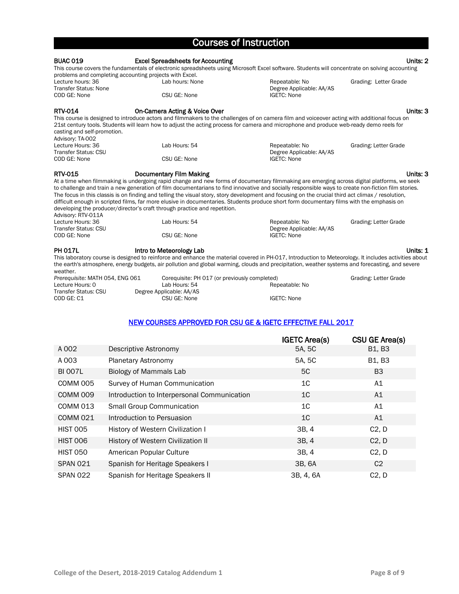| <b>Courses of Instruction</b>                                                             |                                                                                                             |                                                                                                                                                                                                                                                                                                                                                                                                                                                                                                                                                                                                       |                       |
|-------------------------------------------------------------------------------------------|-------------------------------------------------------------------------------------------------------------|-------------------------------------------------------------------------------------------------------------------------------------------------------------------------------------------------------------------------------------------------------------------------------------------------------------------------------------------------------------------------------------------------------------------------------------------------------------------------------------------------------------------------------------------------------------------------------------------------------|-----------------------|
| <b>BUAC 019</b>                                                                           | <b>Excel Spreadsheets for Accounting</b>                                                                    | This course covers the fundamentals of electronic spreadsheets using Microsoft Excel software. Students will concentrate on solving accounting                                                                                                                                                                                                                                                                                                                                                                                                                                                        | Units: 2              |
| Lecture hours: 36<br><b>Transfer Status: None</b><br>COD GE: None                         | problems and completing accounting projects with Excel.<br>Lab hours: None<br>CSU GE: None                  | Repeatable: No<br>Degree Applicable: AA/AS<br>IGETC: None                                                                                                                                                                                                                                                                                                                                                                                                                                                                                                                                             | Grading: Letter Grade |
| <b>RTV-014</b><br>casting and self-promotion.                                             | On-Camera Acting & Voice Over                                                                               | This course is designed to introduce actors and filmmakers to the challenges of on camera film and voiceover acting with additional focus on<br>21st century tools. Students will learn how to adjust the acting process for camera and microphone and produce web-ready demo reels for                                                                                                                                                                                                                                                                                                               | Units: 3              |
| Advisory: TA-002<br>Lecture Hours: 36<br><b>Transfer Status: CSU</b><br>COD GE: None      | Lab Hours: 54<br>CSU GE: None                                                                               | Repeatable: No<br>Degree Applicable: AA/AS<br><b>IGETC: None</b>                                                                                                                                                                                                                                                                                                                                                                                                                                                                                                                                      | Grading: Letter Grade |
| <b>RTV-015</b><br>Advisory: RTV-011A                                                      | <b>Documentary Film Making</b><br>developing the producer/director's craft through practice and repetition. | At a time when filmmaking is undergoing rapid change and new forms of documentary filmmaking are emerging across digital platforms, we seek<br>to challenge and train a new generation of film documentarians to find innovative and socially responsible ways to create non-fiction film stories.<br>The focus in this classis is on finding and telling the visual story, story development and focusing on the crucial third act climax / resolution,<br>difficult enough in scripted films, far more elusive in documentaries. Students produce short form documentary films with the emphasis on | Units: 3              |
| Lecture Hours: 36<br><b>Transfer Status: CSU</b><br>COD GE: None                          | Lab Hours: 54<br>CSU GE: None                                                                               | Repeatable: No<br>Degree Applicable: AA/AS<br><b>IGETC: None</b>                                                                                                                                                                                                                                                                                                                                                                                                                                                                                                                                      | Grading: Letter Grade |
| <b>PH 017L</b><br>weather.                                                                | Intro to Meteorology Lab                                                                                    | This laboratory course is designed to reinforce and enhance the material covered in PH-017, Introduction to Meteorology. It includes activities about<br>the earth's atmosphere, energy budgets, air pollution and global warming, clouds and precipitation, weather systems and forecasting, and severe                                                                                                                                                                                                                                                                                              | Units: 1              |
| Prerequisite: MATH 054, ENG 061<br>Lecture Hours: 0<br>Transfer Status: CSU<br>COD GE: C1 | Corequisite: PH 017 (or previously completed)<br>Lab Hours: 54<br>Degree Applicable: AA/AS<br>CSU GE: None  | Repeatable: No<br><b>IGETC: None</b>                                                                                                                                                                                                                                                                                                                                                                                                                                                                                                                                                                  | Grading: Letter Grade |

### NEW COURSES APPROVED FOR CSU GE & IGETC EFFECTIVE FALL 2017

|                     |                                             | <b>IGETC Area(s)</b> | CSU GE Area(s)                  |
|---------------------|---------------------------------------------|----------------------|---------------------------------|
| A 002               | Descriptive Astronomy                       | 5A, 5C               | B <sub>1</sub> , B <sub>3</sub> |
| A 003               | Planetary Astronomy                         | 5A, 5C               | B1, B3                          |
| <b>BI 007L</b>      | Biology of Mammals Lab                      | 5C                   | B <sub>3</sub>                  |
| COMM 005            | Survey of Human Communication               | 1 <sup>C</sup>       | A1                              |
| COMM <sub>009</sub> | Introduction to Interpersonal Communication | 1C                   | A1                              |
| <b>COMM 013</b>     | <b>Small Group Communication</b>            | 1 <sup>C</sup>       | A1                              |
| <b>COMM 021</b>     | Introduction to Persuasion                  | 1 <sup>C</sup>       | A1                              |
| <b>HIST 005</b>     | History of Western Civilization I           | 3B, 4                | C2, D                           |
| <b>HIST 006</b>     | History of Western Civilization II          | 3B, 4                | C2, D                           |
| <b>HIST 050</b>     | American Popular Culture                    | 3B, 4                | C2, D                           |
| <b>SPAN 021</b>     | Spanish for Heritage Speakers I             | 3B, 6A               | C <sub>2</sub>                  |
| <b>SPAN 022</b>     | Spanish for Heritage Speakers II            | 3B, 4, 6A            | C2, D                           |